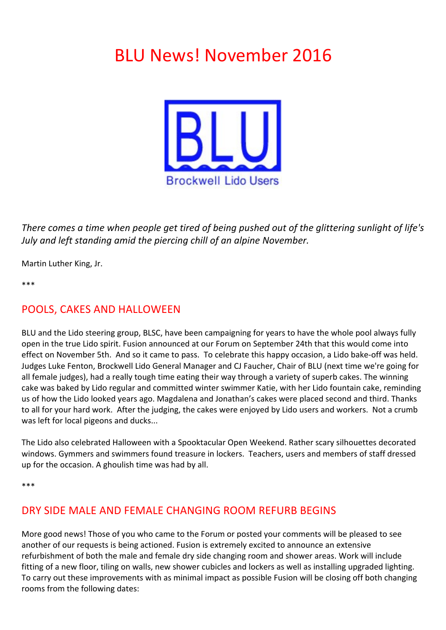# **BLU News! November 2016**



*There comes a time when people get tired of being pushed out of the glittering sunlight of life's July* and left standing amid the piercing chill of an alpine November.

Martin Luther King, Jr.

\*\*\*

## POOLS, CAKES AND HALLOWEEN

BLU and the Lido steering group, BLSC, have been campaigning for years to have the whole pool always fully open in the true Lido spirit. Fusion announced at our Forum on September 24th that this would come into effect on November 5th. And so it came to pass. To celebrate this happy occasion, a Lido bake-off was held. Judges Luke Fenton, Brockwell Lido General Manager and CJ Faucher, Chair of BLU (next time we're going for all female judges), had a really tough time eating their way through a variety of superb cakes. The winning cake was baked by Lido regular and committed winter swimmer Katie, with her Lido fountain cake, reminding us of how the Lido looked years ago. Magdalena and Jonathan's cakes were placed second and third. Thanks to all for your hard work. After the judging, the cakes were enjoyed by Lido users and workers. Not a crumb was left for local pigeons and ducks...

The Lido also celebrated Halloween with a Spooktacular Open Weekend. Rather scary silhouettes decorated windows. Gymmers and swimmers found treasure in lockers. Teachers, users and members of staff dressed up for the occasion. A ghoulish time was had by all.

\*\*\*

# DRY SIDE MALE AND FEMALE CHANGING ROOM REFURB BEGINS

More good news! Those of you who came to the Forum or posted your comments will be pleased to see another of our requests is being actioned. Fusion is extremely excited to announce an extensive refurbishment of both the male and female dry side changing room and shower areas. Work will include fitting of a new floor, tiling on walls, new shower cubicles and lockers as well as installing upgraded lighting. To carry out these improvements with as minimal impact as possible Fusion will be closing off both changing rooms from the following dates: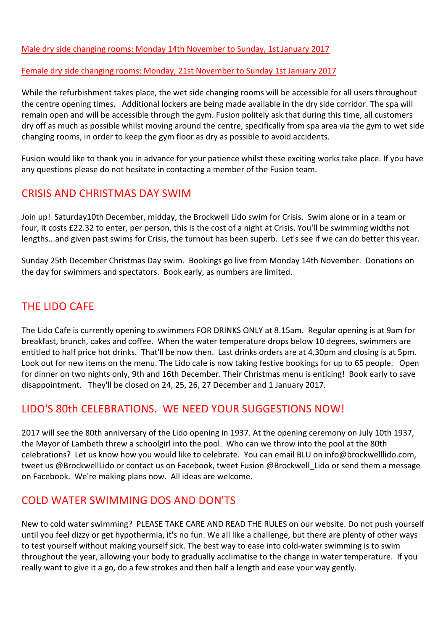#### Male dry side changing rooms: Monday 14th November to Sunday, 1st January 2017

#### Female dry side changing rooms: Monday, 21st November to Sunday 1st January 2017

While the refurbishment takes place, the wet side changing rooms will be accessible for all users throughout the centre opening times. Additional lockers are being made available in the dry side corridor. The spa will remain open and will be accessible through the gym. Fusion politely ask that during this time, all customers dry off as much as possible whilst moving around the centre, specifically from spa area via the gym to wet side changing rooms, in order to keep the gym floor as dry as possible to avoid accidents.

Fusion would like to thank you in advance for your patience whilst these exciting works take place. If you have any questions please do not hesitate in contacting a member of the Fusion team.

#### CRISIS AND CHRISTMAS DAY SWIM

Join up! Saturday10th December, midday, the Brockwell Lido swim for Crisis. Swim alone or in a team or four, it costs £22.32 to enter, per person, this is the cost of a night at Crisis. You'll be swimming widths not lengths...and given past swims for Crisis, the turnout has been superb. Let's see if we can do better this year.

Sunday 25th December Christmas Day swim. Bookings go live from Monday 14th November. Donations on the day for swimmers and spectators. Book early, as numbers are limited.

## THE LIDO CAFE

The Lido Cafe is currently opening to swimmers FOR DRINKS ONLY at 8.15am. Regular opening is at 9am for breakfast, brunch, cakes and coffee. When the water temperature drops below 10 degrees, swimmers are entitled to half price hot drinks. That'll be now then. Last drinks orders are at 4.30pm and closing is at 5pm. Look out for new items on the menu. The Lido cafe is now taking festive bookings for up to 65 people. Open for dinner on two nights only, 9th and 16th December. Their Christmas menu is enticing! Book early to save disappointment. They'll be closed on 24, 25, 26, 27 December and 1 January 2017.

#### LIDO'S 80th CELEBRATIONS. WE NEED YOUR SUGGESTIONS NOW!

2017 will see the 80th anniversary of the Lido opening in 1937. At the opening ceremony on July 10th 1937, the Mayor of Lambeth threw a schoolgirl into the pool. Who can we throw into the pool at the 80th celebrations? Let us know how you would like to celebrate. You can email BLU on info@brockwelllido.com, tweet us @BrockwellLido or contact us on Facebook, tweet Fusion @Brockwell Lido or send them a message on Facebook. We're making plans now. All ideas are welcome.

#### COLD WATER SWIMMING DOS AND DON'TS

New to cold water swimming? PLEASE TAKE CARE AND READ THE RULES on our website. Do not push yourself until you feel dizzy or get hypothermia, it's no fun. We all like a challenge, but there are plenty of other ways to test yourself without making yourself sick. The best way to ease into cold-water swimming is to swim throughout the year, allowing your body to gradually acclimatise to the change in water temperature. If you really want to give it a go, do a few strokes and then half a length and ease your way gently.